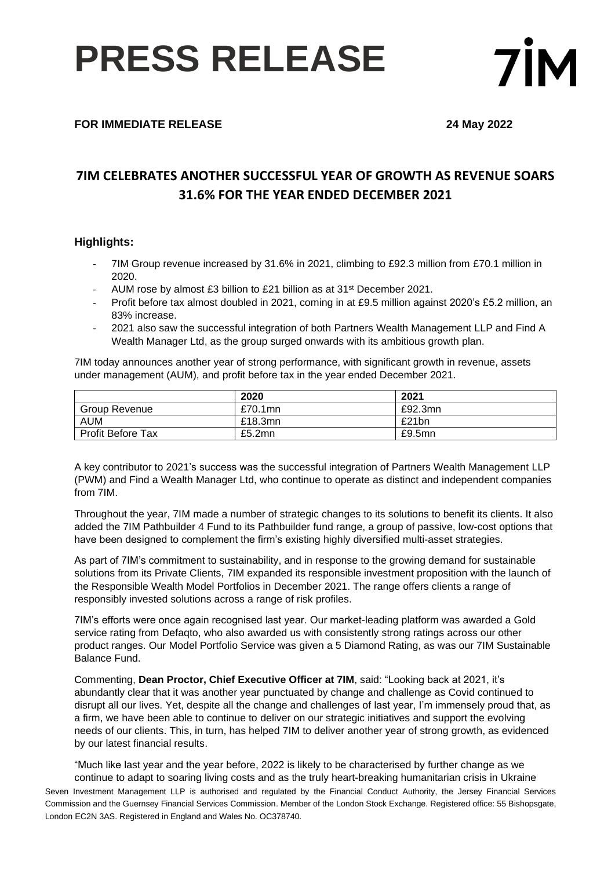## **PRESS RELEASE**



### **FOR IMMEDIATE RELEASE 24 May 2022**

### **7IM CELEBRATES ANOTHER SUCCESSFUL YEAR OF GROWTH AS REVENUE SOARS 31.6% FOR THE YEAR ENDED DECEMBER 2021**

#### **Highlights:**

- 7IM Group revenue increased by 31.6% in 2021, climbing to £92.3 million from £70.1 million in 2020.
- AUM rose by almost £3 billion to £21 billion as at 31st December 2021.
- Profit before tax almost doubled in 2021, coming in at £9.5 million against 2020's £5.2 million, an 83% increase.
- 2021 also saw the successful integration of both Partners Wealth Management LLP and Find A Wealth Manager Ltd, as the group surged onwards with its ambitious growth plan.

7IM today announces another year of strong performance, with significant growth in revenue, assets under management (AUM), and profit before tax in the year ended December 2021.

|                          | 2020    | 2021      |
|--------------------------|---------|-----------|
| Group Revenue            | £70.1mn | £92.3mn   |
| <b>AUM</b>               | £18.3mn | £21bn     |
| <b>Profit Before Tax</b> | £5.2mn  | $£9.5$ mn |

A key contributor to 2021's success was the successful integration of Partners Wealth Management LLP (PWM) and Find a Wealth Manager Ltd, who continue to operate as distinct and independent companies from 7IM.

Throughout the year, 7IM made a number of strategic changes to its solutions to benefit its clients. It also added the 7IM Pathbuilder 4 Fund to its Pathbuilder fund range, a group of passive, low-cost options that have been designed to complement the firm's existing highly diversified multi-asset strategies.

As part of 7IM's commitment to sustainability, and in response to the growing demand for sustainable solutions from its Private Clients, 7IM expanded its responsible investment proposition with the launch of the Responsible Wealth Model Portfolios in December 2021. The range offers clients a range of responsibly invested solutions across a range of risk profiles.

7IM's efforts were once again recognised last year. Our market-leading platform was awarded a Gold service rating from Defaqto, who also awarded us with consistently strong ratings across our other product ranges. Our Model Portfolio Service was given a 5 Diamond Rating, as was our 7IM Sustainable Balance Fund.

Commenting, **Dean Proctor, Chief Executive Officer at 7IM**, said: "Looking back at 2021, it's abundantly clear that it was another year punctuated by change and challenge as Covid continued to disrupt all our lives. Yet, despite all the change and challenges of last year, I'm immensely proud that, as a firm, we have been able to continue to deliver on our strategic initiatives and support the evolving needs of our clients. This, in turn, has helped 7IM to deliver another year of strong growth, as evidenced by our latest financial results.

"Much like last year and the year before, 2022 is likely to be characterised by further change as we continue to adapt to soaring living costs and as the truly heart-breaking humanitarian crisis in Ukraine

Seven Investment Management LLP is authorised and regulated by the Financial Conduct Authority, the Jersey Financial Services Commission and the Guernsey Financial Services Commission. Member of the London Stock Exchange. Registered office: 55 Bishopsgate, London EC2N 3AS. Registered in England and Wales No. OC378740.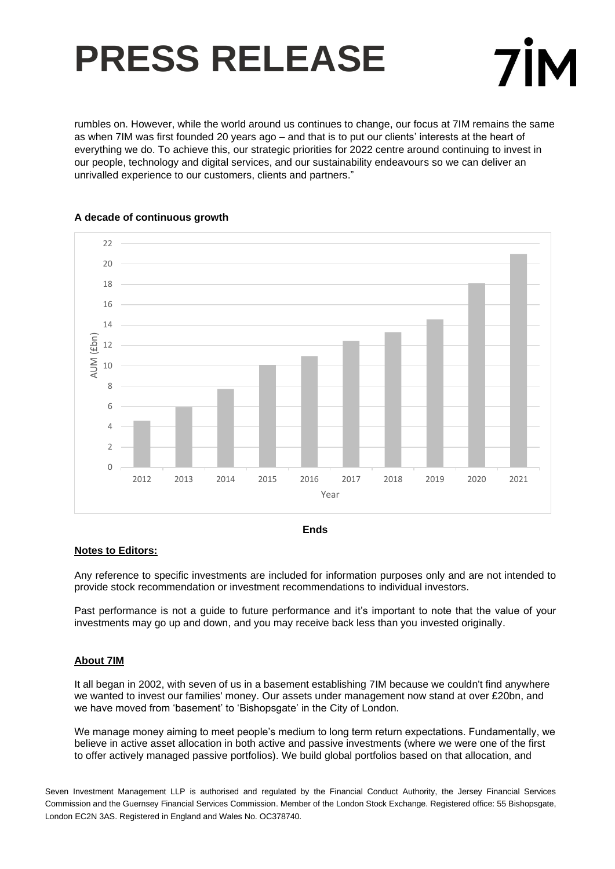# **PRESS RELEASE**



rumbles on. However, while the world around us continues to change, our focus at 7IM remains the same as when 7IM was first founded 20 years ago – and that is to put our clients' interests at the heart of everything we do. To achieve this, our strategic priorities for 2022 centre around continuing to invest in our people, technology and digital services, and our sustainability endeavours so we can deliver an unrivalled experience to our customers, clients and partners."



#### **A decade of continuous growth**



### **Notes to Editors:**

Any reference to specific investments are included for information purposes only and are not intended to provide stock recommendation or investment recommendations to individual investors.

Past performance is not a guide to future performance and it's important to note that the value of your investments may go up and down, and you may receive back less than you invested originally.

### **About 7IM**

It all began in 2002, with seven of us in a basement establishing 7IM because we couldn't find anywhere we wanted to invest our families' money. Our assets under management now stand at over £20bn, and we have moved from 'basement' to 'Bishopsgate' in the City of London.

We manage money aiming to meet people's medium to long term return expectations. Fundamentally, we believe in active asset allocation in both active and passive investments (where we were one of the first to offer actively managed passive portfolios). We build global portfolios based on that allocation, and

Seven Investment Management LLP is authorised and regulated by the Financial Conduct Authority, the Jersey Financial Services Commission and the Guernsey Financial Services Commission. Member of the London Stock Exchange. Registered office: 55 Bishopsgate, London EC2N 3AS. Registered in England and Wales No. OC378740.